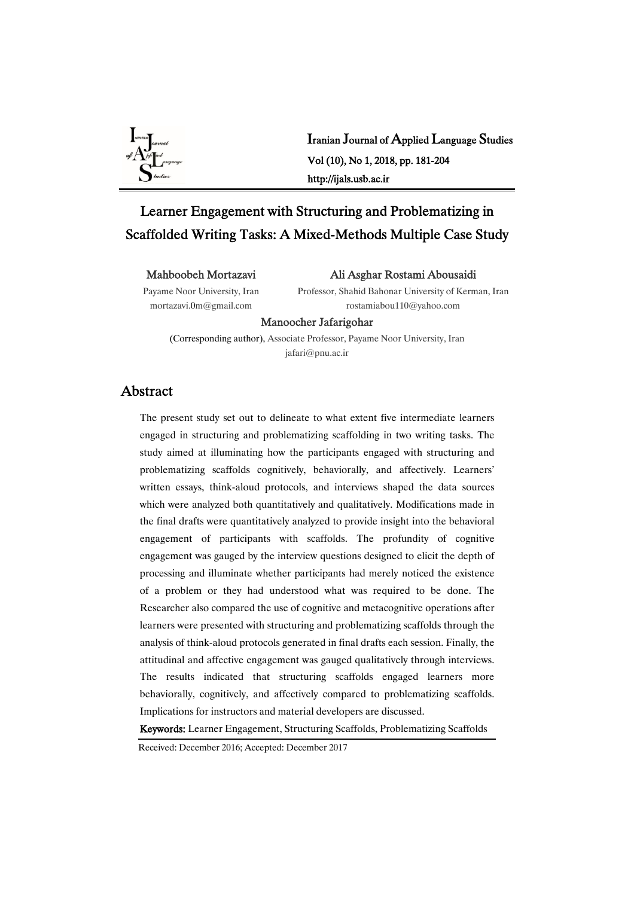

Iranian Journal of Applied Language Studies Vol(10),No1,2018,pp.181-204 http://ijals.usb.ac.ir

# Learner Engagement with Structuring and Problematizing in Scaffolded Writing Tasks: A Mixed-Methods Multiple Case Study

#### Mahboobeh Mortazavi

Payame Noor University, Iran mortazavi.0m@gmail.com

Ali Asghar Rostami Abousaidi

Professor, Shahid Bahonar University of Kerman, Iran rostamiabou110@yahoo.com

#### Manoocher Jafarigohar

(Corresponding author), Associate Professor, Payame Noor University, Iran jafari@pnu.ac.ir

## Abstract

The present study set out to delineate to what extent five intermediate learners engaged in structuring and problematizing scaffolding in two writing tasks. The study aimed at illuminating how the participants engaged with structuring and problematizing scaffolds cognitively, behaviorally, and affectively. Learners' written essays, think-aloud protocols, and interviews shaped the data sources which were analyzed both quantitatively and qualitatively. Modifications made in the final drafts were quantitatively analyzed to provide insight into the behavioral engagement of participants with scaffolds. The profundity of cognitive engagement was gauged by the interview questions designed to elicit the depth of processing and illuminate whether participants had merely noticed the existence of a problem or they had understood what was required to be done. The Researcher also compared the use of cognitive and metacognitive operations after learners were presented with structuring and problematizing scaffolds through the analysis of think-aloud protocols generated in final drafts each session. Finally, the attitudinal and affective engagement was gauged qualitatively through interviews. The results indicated that structuring scaffolds engaged learners more behaviorally, cognitively, and affectively compared to problematizing scaffolds. Implications for instructors and material developers are discussed.

Keywords: Learner Engagement, Structuring Scaffolds, Problematizing Scaffolds

Received: December 2016; Accepted: December 2017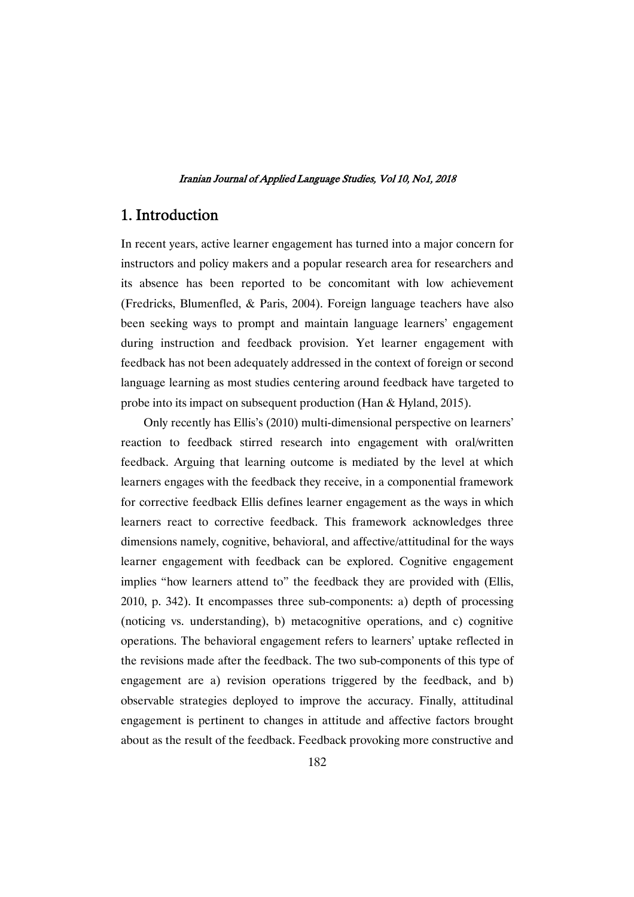## 1.Introduction

In recent years, active learner engagement has turned into a major concern for instructors and policy makers and a popular research area for researchers and its absence has been reported to be concomitant with low achievement (Fredricks, Blumenfled, & Paris, 2004). Foreign language teachers have also been seeking ways to prompt and maintain language learners' engagement during instruction and feedback provision. Yet learner engagement with feedback has not been adequately addressed in the context of foreign or second language learning as most studies centering around feedback have targeted to probe into its impact on subsequent production (Han & Hyland, 2015).

Only recently has Ellis's (2010) multi-dimensional perspective on learners' reaction to feedback stirred research into engagement with oral/written feedback. Arguing that learning outcome is mediated by the level at which learners engages with the feedback they receive, in a componential framework for corrective feedback Ellis defines learner engagement as the ways in which learners react to corrective feedback. This framework acknowledges three dimensions namely, cognitive, behavioral, and affective/attitudinal for the ways learner engagement with feedback can be explored. Cognitive engagement implies "how learners attend to" the feedback they are provided with (Ellis, 2010, p. 342). It encompasses three sub-components: a) depth of processing (noticing vs. understanding), b) metacognitive operations, and c) cognitive operations. The behavioral engagement refers to learners' uptake reflected in the revisions made after the feedback. The two sub-components of this type of engagement are a) revision operations triggered by the feedback, and b) observable strategies deployed to improve the accuracy. Finally, attitudinal engagement is pertinent to changes in attitude and affective factors brought about as the result of the feedback. Feedback provoking more constructive and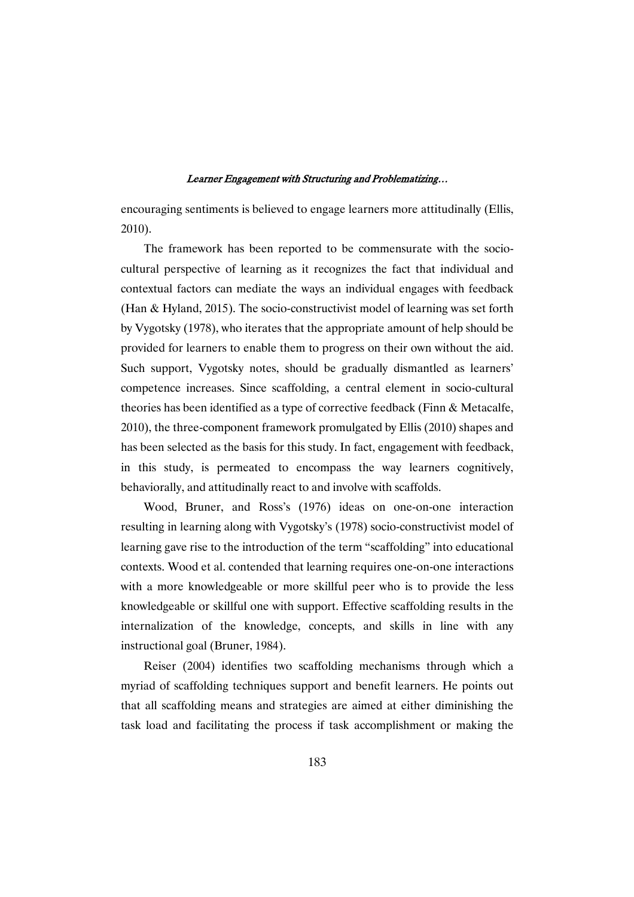encouraging sentiments is believed to engage learners more attitudinally (Ellis, 2010).

The framework has been reported to be commensurate with the sociocultural perspective of learning as it recognizes the fact that individual and contextual factors can mediate the ways an individual engages with feedback (Han & Hyland, 2015). The socio-constructivist model of learning was set forth by Vygotsky (1978), who iterates that the appropriate amount of help should be provided for learners to enable them to progress on their own without the aid. Such support, Vygotsky notes, should be gradually dismantled as learners' competence increases. Since scaffolding, a central element in socio-cultural theories has been identified as a type of corrective feedback (Finn & Metacalfe, 2010), the three-component framework promulgated by Ellis (2010) shapes and has been selected as the basis for this study. In fact, engagement with feedback, in this study, is permeated to encompass the way learners cognitively, behaviorally, and attitudinally react to and involve with scaffolds.

Wood, Bruner, and Ross's (1976) ideas on one-on-one interaction resulting in learning along with Vygotsky's (1978) socio-constructivist model of learning gave rise to the introduction of the term "scaffolding" into educational contexts. Wood et al. contended that learning requires one-on-one interactions with a more knowledgeable or more skillful peer who is to provide the less knowledgeable or skillful one with support. Effective scaffolding results in the internalization of the knowledge, concepts, and skills in line with any instructional goal (Bruner, 1984).

Reiser (2004) identifies two scaffolding mechanisms through which a myriad of scaffolding techniques support and benefit learners. He points out that all scaffolding means and strategies are aimed at either diminishing the task load and facilitating the process if task accomplishment or making the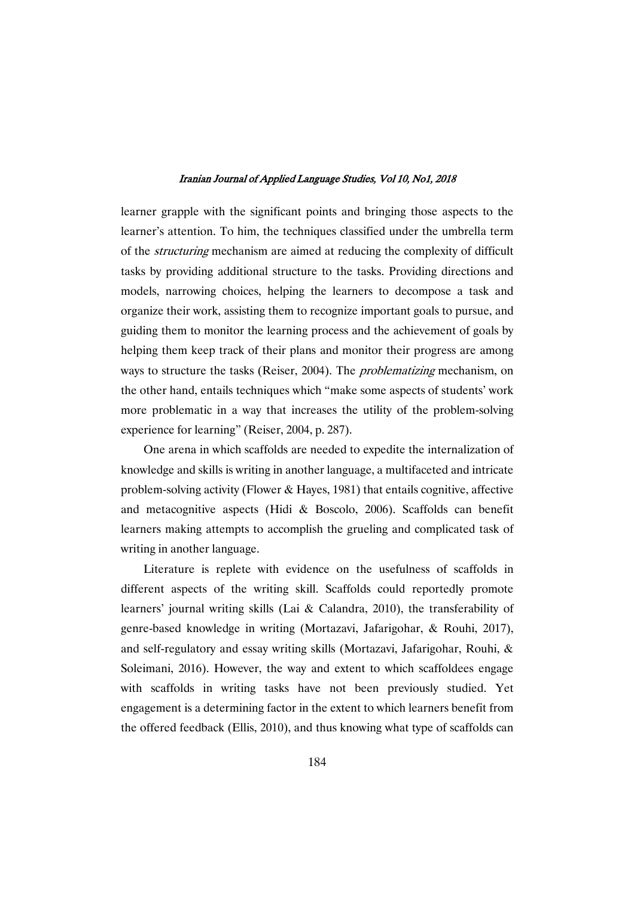learner grapple with the significant points and bringing those aspects to the learner's attention. To him, the techniques classified under the umbrella term of the structuring mechanism are aimed at reducing the complexity of difficult tasks by providing additional structure to the tasks. Providing directions and models, narrowing choices, helping the learners to decompose a task and organize their work, assisting them to recognize important goals to pursue, and guiding them to monitor the learning process and the achievement of goals by helping them keep track of their plans and monitor their progress are among ways to structure the tasks (Reiser, 2004). The *problematizing* mechanism, on the other hand, entails techniques which "make some aspects of students' work more problematic in a way that increases the utility of the problem-solving experience for learning" (Reiser, 2004, p. 287).

One arena in which scaffolds are needed to expedite the internalization of knowledge and skills is writing in another language, a multifaceted and intricate problem-solving activity (Flower & Hayes, 1981) that entails cognitive, affective and metacognitive aspects (Hidi & Boscolo, 2006). Scaffolds can benefit learners making attempts to accomplish the grueling and complicated task of writing in another language.

Literature is replete with evidence on the usefulness of scaffolds in different aspects of the writing skill. Scaffolds could reportedly promote learners' journal writing skills (Lai & Calandra, 2010), the transferability of genre-based knowledge in writing (Mortazavi, Jafarigohar, & Rouhi, 2017), and self-regulatory and essay writing skills (Mortazavi, Jafarigohar, Rouhi, & Soleimani, 2016). However, the way and extent to which scaffoldees engage with scaffolds in writing tasks have not been previously studied. Yet engagement is a determining factor in the extent to which learners benefit from the offered feedback (Ellis, 2010), and thus knowing what type of scaffolds can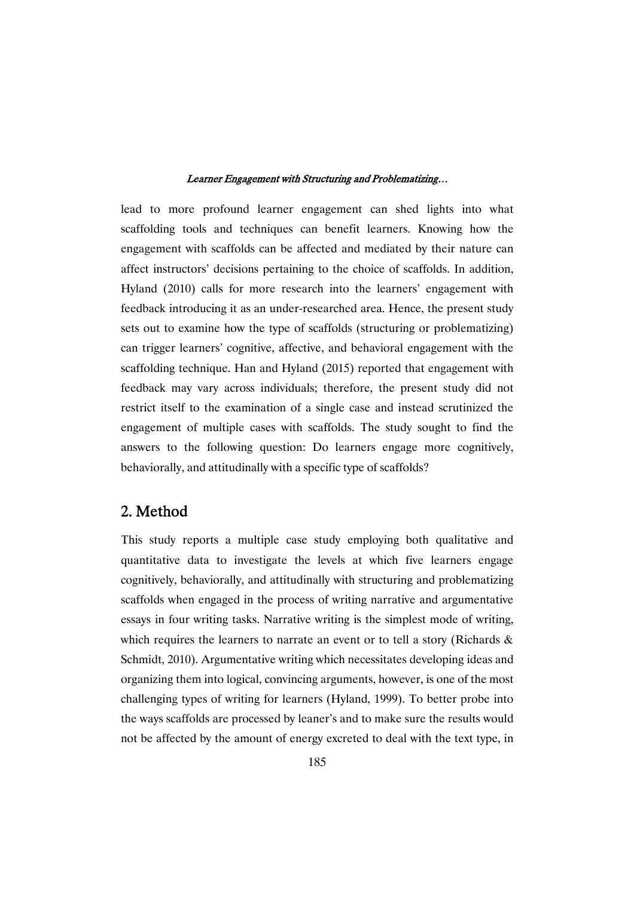lead to more profound learner engagement can shed lights into what scaffolding tools and techniques can benefit learners. Knowing how the engagement with scaffolds can be affected and mediated by their nature can affect instructors' decisions pertaining to the choice of scaffolds. In addition, Hyland (2010) calls for more research into the learners' engagement with feedback introducing it as an under-researched area. Hence, the present study sets out to examine how the type of scaffolds (structuring or problematizing) can trigger learners' cognitive, affective, and behavioral engagement with the scaffolding technique. Han and Hyland (2015) reported that engagement with feedback may vary across individuals; therefore, the present study did not restrict itself to the examination of a single case and instead scrutinized the engagement of multiple cases with scaffolds. The study sought to find the answers to the following question: Do learners engage more cognitively, behaviorally, and attitudinally with a specific type of scaffolds?

## 2.Method

This study reports a multiple case study employing both qualitative and quantitative data to investigate the levels at which five learners engage cognitively, behaviorally, and attitudinally with structuring and problematizing scaffolds when engaged in the process of writing narrative and argumentative essays in four writing tasks. Narrative writing is the simplest mode of writing, which requires the learners to narrate an event or to tell a story (Richards & Schmidt, 2010). Argumentative writing which necessitates developing ideas and organizing them into logical, convincing arguments, however, is one of the most challenging types of writing for learners (Hyland, 1999). To better probe into the ways scaffolds are processed by leaner's and to make sure the results would not be affected by the amount of energy excreted to deal with the text type, in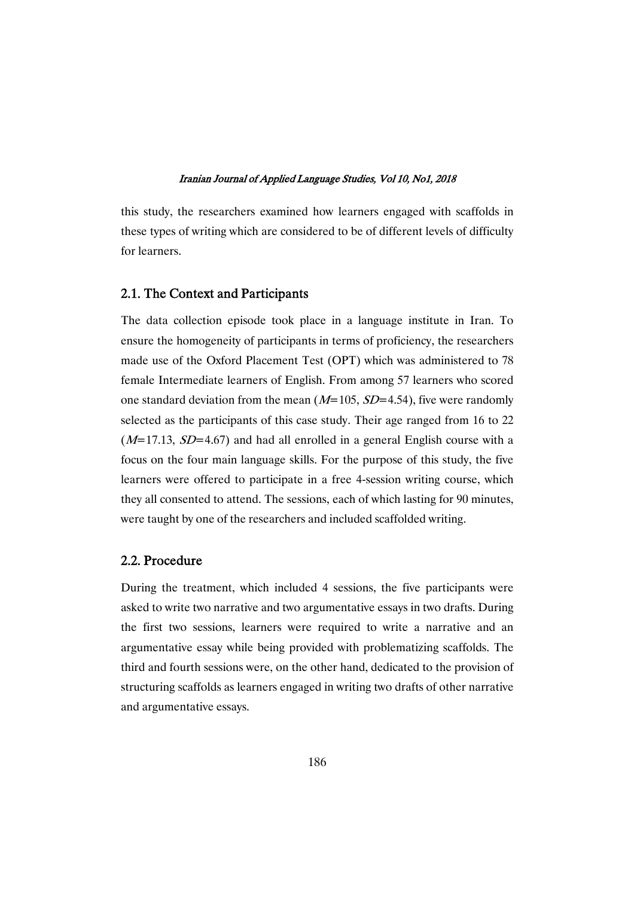this study, the researchers examined how learners engaged with scaffolds in these types of writing which are considered to be of different levels of difficulty for learners.

### 2.1. The Context and Participants

The data collection episode took place in a language institute in Iran. To ensure the homogeneity of participants in terms of proficiency, the researchers made use of the Oxford Placement Test (OPT) which was administered to 78 female Intermediate learners of English. From among 57 learners who scored one standard deviation from the mean  $(M=105, SD=4.54)$ , five were randomly selected as the participants of this case study. Their age ranged from 16 to 22  $(M=17.13, SD=4.67)$  and had all enrolled in a general English course with a focus on the four main language skills. For the purpose of this study, the five learners were offered to participate in a free 4-session writing course, which they all consented to attend. The sessions, each of which lasting for 90 minutes, were taught by one of the researchers and included scaffolded writing.

## 2.2.Procedure

During the treatment, which included 4 sessions, the five participants were asked to write two narrative and two argumentative essays in two drafts. During the first two sessions, learners were required to write a narrative and an argumentative essay while being provided with problematizing scaffolds. The third and fourth sessions were, on the other hand, dedicated to the provision of structuring scaffolds as learners engaged in writing two drafts of other narrative and argumentative essays.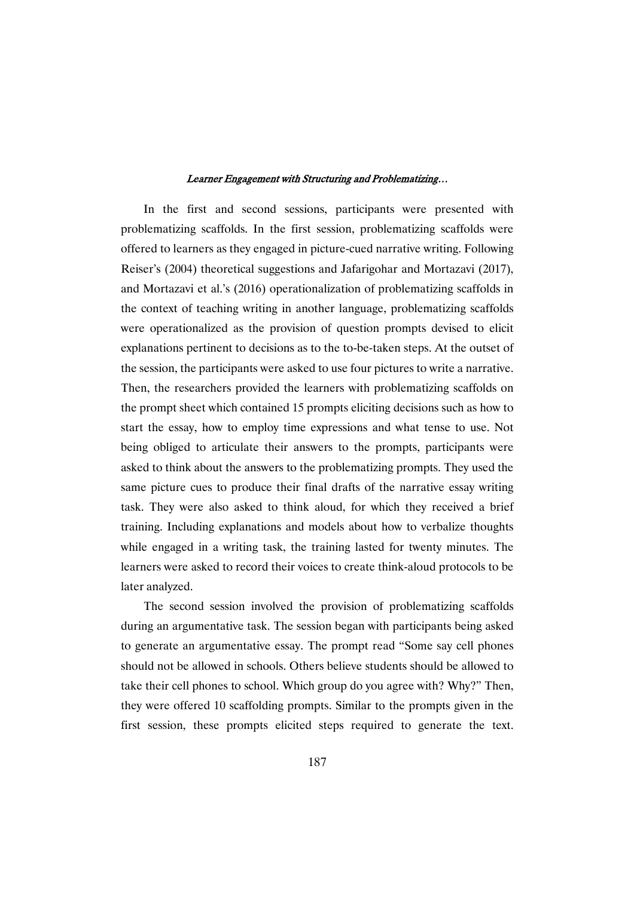In the first and second sessions, participants were presented with problematizing scaffolds. In the first session, problematizing scaffolds were offered to learners as they engaged in picture-cued narrative writing. Following Reiser's (2004) theoretical suggestions and Jafarigohar and Mortazavi (2017), and Mortazavi et al.'s (2016) operationalization of problematizing scaffolds in the context of teaching writing in another language, problematizing scaffolds were operationalized as the provision of question prompts devised to elicit explanations pertinent to decisions as to the to-be-taken steps. At the outset of the session, the participants were asked to use four pictures to write a narrative. Then, the researchers provided the learners with problematizing scaffolds on the prompt sheet which contained 15 prompts eliciting decisions such as how to start the essay, how to employ time expressions and what tense to use. Not being obliged to articulate their answers to the prompts, participants were asked to think about the answers to the problematizing prompts. They used the same picture cues to produce their final drafts of the narrative essay writing task. They were also asked to think aloud, for which they received a brief training. Including explanations and models about how to verbalize thoughts while engaged in a writing task, the training lasted for twenty minutes. The learners were asked to record their voices to create think-aloud protocols to be later analyzed.

The second session involved the provision of problematizing scaffolds during an argumentative task. The session began with participants being asked to generate an argumentative essay. The prompt read "Some say cell phones should not be allowed in schools. Others believe students should be allowed to take their cell phones to school. Which group do you agree with? Why?" Then, they were offered 10 scaffolding prompts. Similar to the prompts given in the first session, these prompts elicited steps required to generate the text.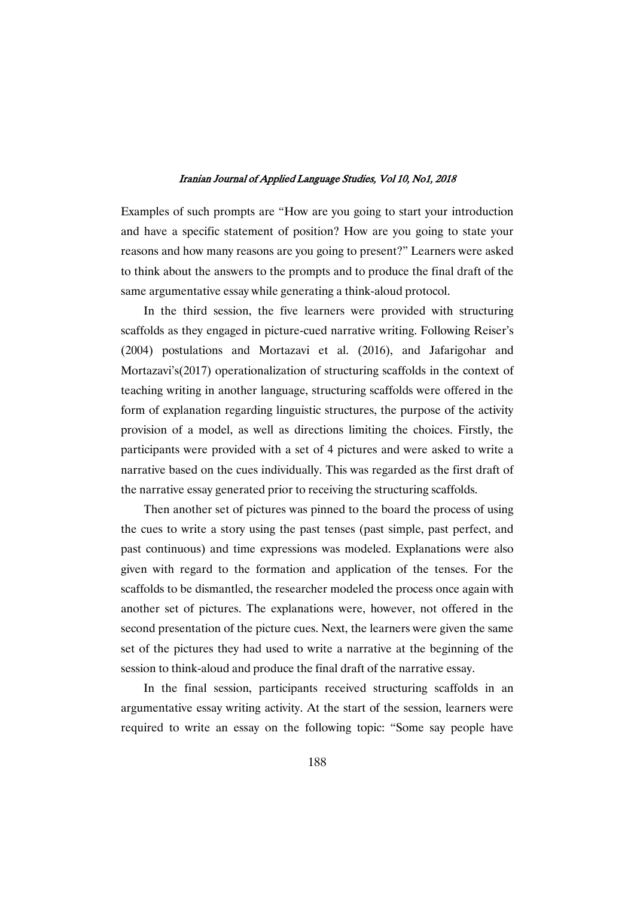Examples of such prompts are "How are you going to start your introduction and have a specific statement of position? How are you going to state your reasons and how many reasons are you going to present?" Learners were asked to think about the answers to the prompts and to produce the final draft of the same argumentative essay while generating a think-aloud protocol.

In the third session, the five learners were provided with structuring scaffolds as they engaged in picture-cued narrative writing. Following Reiser's (2004) postulations and Mortazavi et al. (2016), and Jafarigohar and Mortazavi's(2017) operationalization of structuring scaffolds in the context of teaching writing in another language, structuring scaffolds were offered in the form of explanation regarding linguistic structures, the purpose of the activity provision of a model, as well as directions limiting the choices. Firstly, the participants were provided with a set of 4 pictures and were asked to write a narrative based on the cues individually. This was regarded as the first draft of the narrative essay generated prior to receiving the structuring scaffolds.

Then another set of pictures was pinned to the board the process of using the cues to write a story using the past tenses (past simple, past perfect, and past continuous) and time expressions was modeled. Explanations were also given with regard to the formation and application of the tenses. For the scaffolds to be dismantled, the researcher modeled the process once again with another set of pictures. The explanations were, however, not offered in the second presentation of the picture cues. Next, the learners were given the same set of the pictures they had used to write a narrative at the beginning of the session to think-aloud and produce the final draft of the narrative essay.

In the final session, participants received structuring scaffolds in an argumentative essay writing activity. At the start of the session, learners were required to write an essay on the following topic: "Some say people have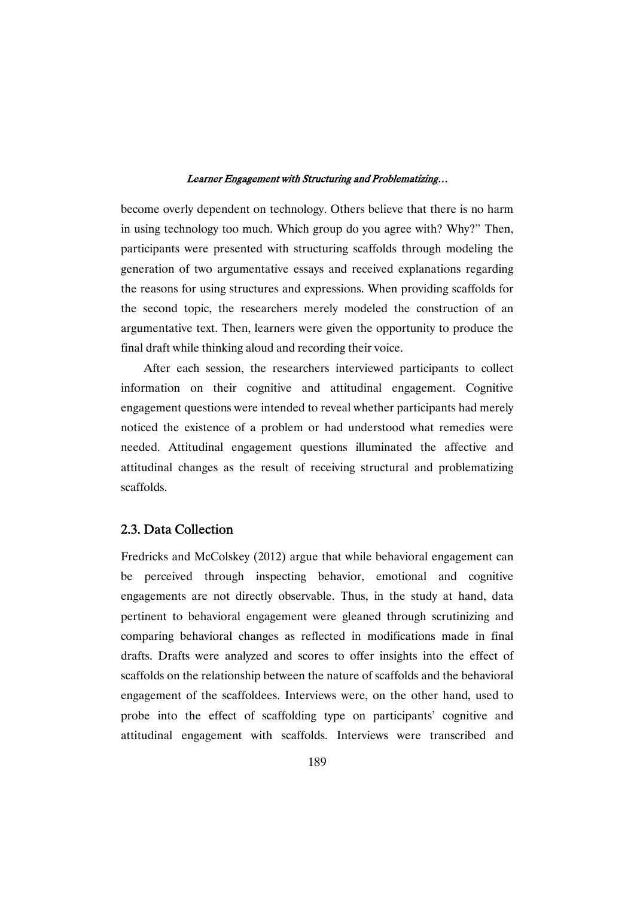become overly dependent on technology. Others believe that there is no harm in using technology too much. Which group do you agree with? Why?" Then, participants were presented with structuring scaffolds through modeling the generation of two argumentative essays and received explanations regarding the reasons for using structures and expressions. When providing scaffolds for the second topic, the researchers merely modeled the construction of an argumentative text. Then, learners were given the opportunity to produce the final draft while thinking aloud and recording their voice.

After each session, the researchers interviewed participants to collect information on their cognitive and attitudinal engagement. Cognitive engagement questions were intended to reveal whether participants had merely noticed the existence of a problem or had understood what remedies were needed. Attitudinal engagement questions illuminated the affective and attitudinal changes as the result of receiving structural and problematizing scaffolds.

### 2.3. Data Collection

Fredricks and McColskey (2012) argue that while behavioral engagement can be perceived through inspecting behavior, emotional and cognitive engagements are not directly observable. Thus, in the study at hand, data pertinent to behavioral engagement were gleaned through scrutinizing and comparing behavioral changes as reflected in modifications made in final drafts. Drafts were analyzed and scores to offer insights into the effect of scaffolds on the relationship between the nature of scaffolds and the behavioral engagement of the scaffoldees. Interviews were, on the other hand, used to probe into the effect of scaffolding type on participants' cognitive and attitudinal engagement with scaffolds. Interviews were transcribed and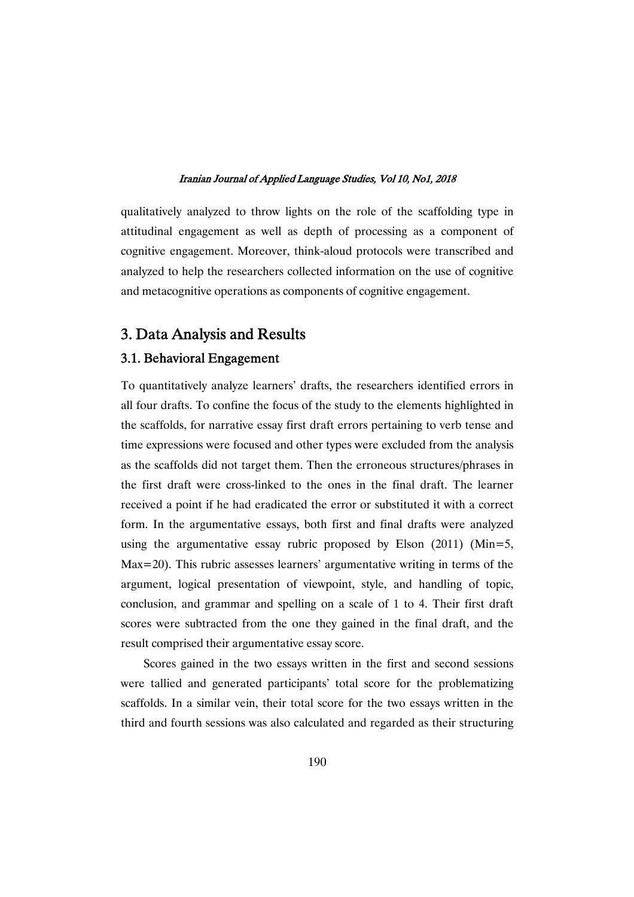qualitatively analyzed to throw lights on the role of the scaffolding type in attitudinal engagement as well as depth of processing as a component of cognitive engagement. Moreover, think-aloud protocols were transcribed and analyzed to help the researchers collected information on the use of cognitive and metacognitive operations as components of cognitive engagement.

## 3. Data Analysis and Results

## 3.1. Behavioral Engagement

To quantitatively analyze learners' drafts, the researchers identified errors in all four drafts. To confine the focus of the study to the elements highlighted in the scaffolds, for narrative essay first draft errors pertaining to verb tense and time expressions were focused and other types were excluded from the analysis as the scaffolds did not target them. Then the erroneous structures/phrases in the first draft were cross-linked to the ones in the final draft. The learner received a point if he had eradicated the error or substituted it with a correct form. In the argumentative essays, both first and final drafts were analyzed using the argumentative essay rubric proposed by Elson  $(2011)$  (Min=5, Max=20). This rubric assesses learners' argumentative writing in terms of the argument, logical presentation of viewpoint, style, and handling of topic, conclusion, and grammar and spelling on a scale of 1 to 4. Their first draft scores were subtracted from the one they gained in the final draft, and the result comprised their argumentative essay score.

Scores gained in the two essays written in the first and second sessions were tallied and generated participants' total score for the problematizing scaffolds. In a similar vein, their total score for the two essays written in the third and fourth sessions was also calculated and regarded as their structuring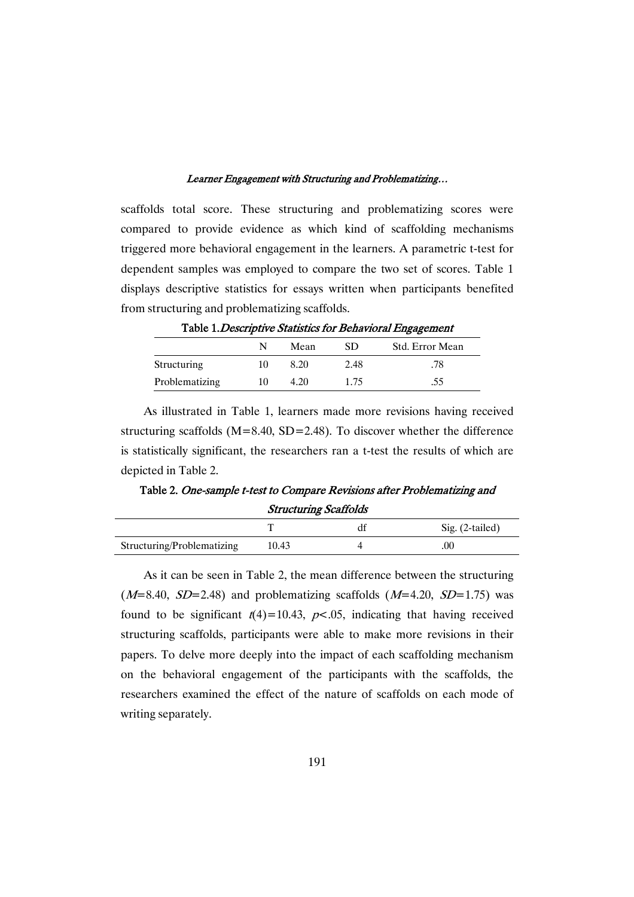scaffolds total score. These structuring and problematizing scores were compared to provide evidence as which kind of scaffolding mechanisms triggered more behavioral engagement in the learners. A parametric t-test for dependent samples was employed to compare the two set of scores. Table 1 displays descriptive statistics for essays written when participants benefited from structuring and problematizing scaffolds.

| Table 1. Descriptive Blatistics for Denavioral Engagement |    |      |      |                 |
|-----------------------------------------------------------|----|------|------|-----------------|
|                                                           | N  | Mean | SD.  | Std. Error Mean |
| Structuring                                               | 10 | 8.20 | 2.48 | .78             |
| Problematizing                                            | 10 | 4.20 | 1.75 | .55             |

Table 1. Descriptive Statistics for Rehavioral Engagement

As illustrated in Table 1, learners made more revisions having received structuring scaffolds ( $M=8.40$ ,  $SD=2.48$ ). To discover whether the difference is statistically significant, the researchers ran a t-test the results of which are depicted in Table 2.

Table 2. One-sample t-test to Compare Revisions after Problematizing and **Structuring Scaffolds** 

|                            |       | Sig. (2-tailed) |
|----------------------------|-------|-----------------|
| Structuring/Problematizing | 10.43 |                 |

As it can be seen in Table 2, the mean difference between the structuring  $(M=8.40, SD=2.48)$  and problematizing scaffolds  $(M=4.20, SD=1.75)$  was found to be significant  $t(4)=10.43$ ,  $p<.05$ , indicating that having received structuring scaffolds, participants were able to make more revisions in their papers. To delve more deeply into the impact of each scaffolding mechanism on the behavioral engagement of the participants with the scaffolds, the researchers examined the effect of the nature of scaffolds on each mode of writing separately.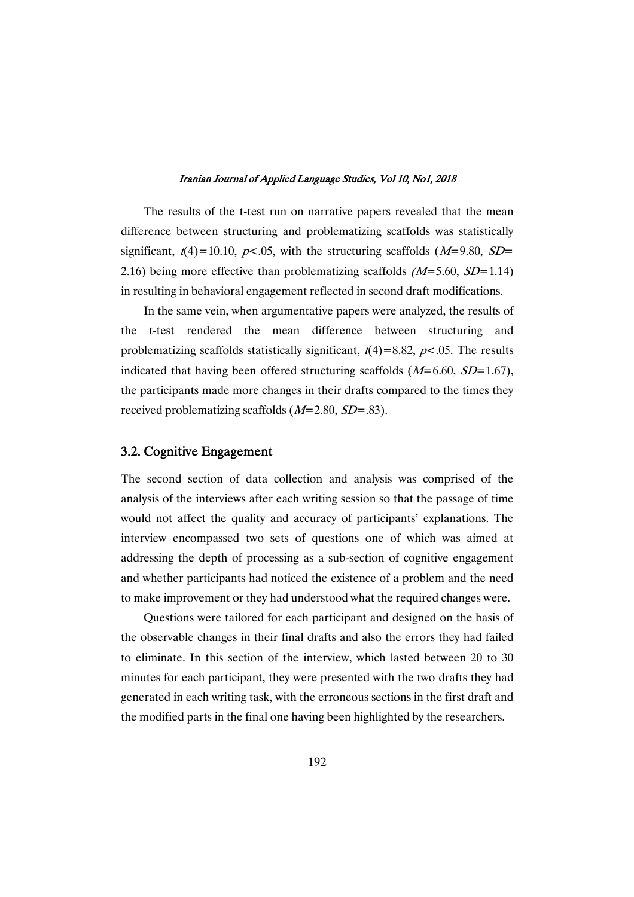The results of the t-test run on narrative papers revealed that the mean difference between structuring and problematizing scaffolds was statistically significant,  $t(4)=10.10$ ,  $p<.05$ , with the structuring scaffolds ( $M=9.80$ ,  $SD=$ 2.16) being more effective than problematizing scaffolds  $(M=5.60, SD=1.14)$ in resulting in behavioral engagement reflected in second draft modifications.

In the same vein, when argumentative papers were analyzed, the results of the t-test rendered the mean difference between structuring and problematizing scaffolds statistically significant,  $t(4)=8.82$ ,  $p<.05$ . The results indicated that having been offered structuring scaffolds  $(M=6.60, SD=1.67)$ , the participants made more changes in their drafts compared to the times they received problematizing scaffolds  $(M=2.80, SD=.83)$ .

## 3.2. Cognitive Engagement

The second section of data collection and analysis was comprised of the analysis of the interviews after each writing session so that the passage of time would not affect the quality and accuracy of participants' explanations. The interview encompassed two sets of questions one of which was aimed at addressing the depth of processing as a sub-section of cognitive engagement and whether participants had noticed the existence of a problem and the need to make improvement or they had understood what the required changes were.

Questions were tailored for each participant and designed on the basis of the observable changes in their final drafts and also the errors they had failed to eliminate. In this section of the interview, which lasted between 20 to 30 minutes for each participant, they were presented with the two drafts they had generated in each writing task, with the erroneous sections in the first draft and the modified parts in the final one having been highlighted by the researchers.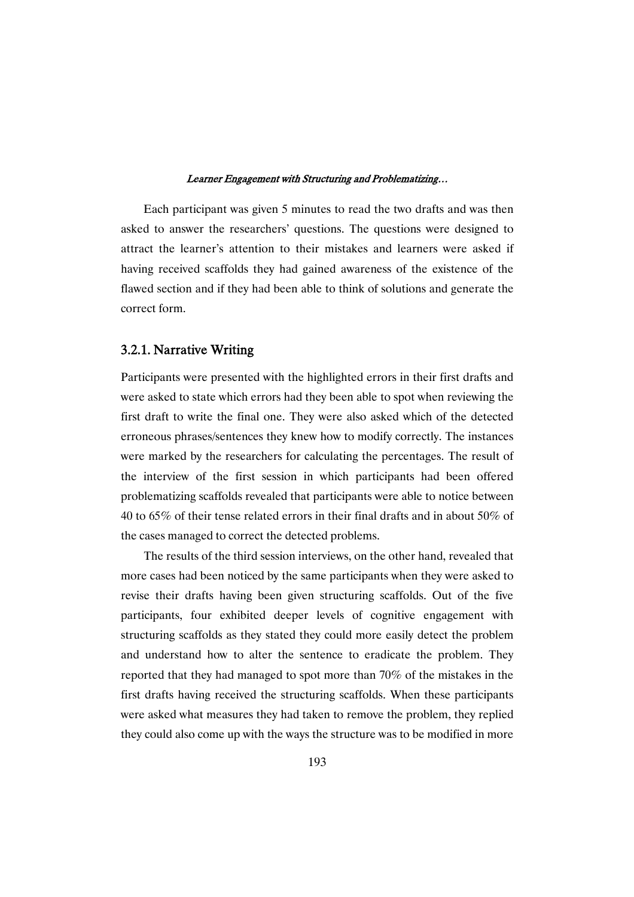Each participant was given 5 minutes to read the two drafts and was then asked to answer the researchers' questions. The questions were designed to attract the learner's attention to their mistakes and learners were asked if having received scaffolds they had gained awareness of the existence of the flawed section and if they had been able to think of solutions and generate the correct form.

### 3.2.1. Narrative Writing

Participants were presented with the highlighted errors in their first drafts and were asked to state which errors had they been able to spot when reviewing the first draft to write the final one. They were also asked which of the detected erroneous phrases/sentences they knew how to modify correctly. The instances were marked by the researchers for calculating the percentages. The result of the interview of the first session in which participants had been offered problematizing scaffolds revealed that participants were able to notice between 40 to 65% of their tense related errors in their final drafts and in about 50% of the cases managed to correct the detected problems.

The results of the third session interviews, on the other hand, revealed that more cases had been noticed by the same participants when they were asked to revise their drafts having been given structuring scaffolds. Out of the five participants, four exhibited deeper levels of cognitive engagement with structuring scaffolds as they stated they could more easily detect the problem and understand how to alter the sentence to eradicate the problem. They reported that they had managed to spot more than 70% of the mistakes in the first drafts having received the structuring scaffolds. When these participants were asked what measures they had taken to remove the problem, they replied they could also come up with the ways the structure was to be modified in more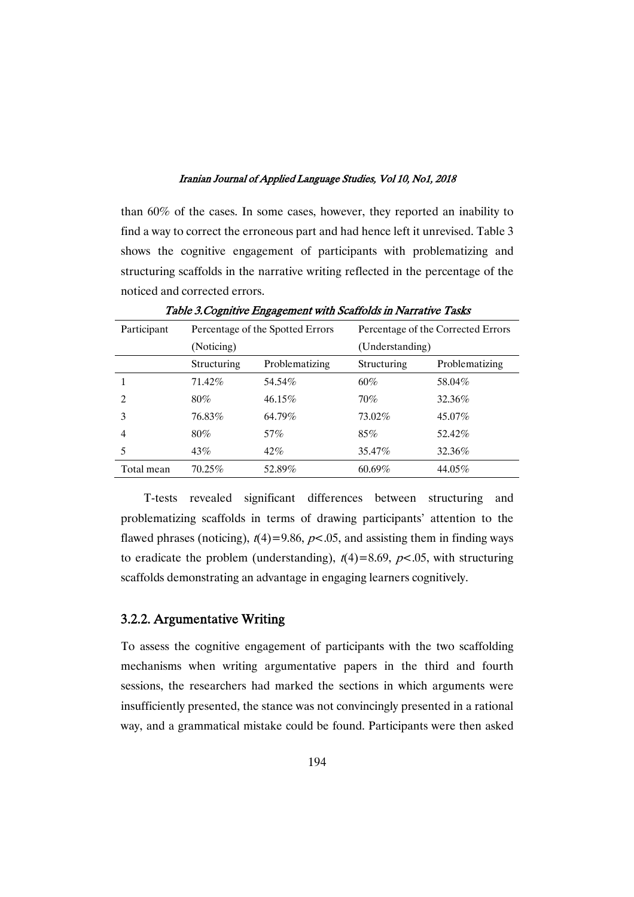than 60% of the cases. In some cases, however, they reported an inability to find a way to correct the erroneous part and had hence left it unrevised. Table 3 shows the cognitive engagement of participants with problematizing and structuring scaffolds in the narrative writing reflected in the percentage of the noticed and corrected errors.

| Participant    | Percentage of the Spotted Errors |                | Percentage of the Corrected Errors |                |
|----------------|----------------------------------|----------------|------------------------------------|----------------|
|                | (Noticing)                       |                | (Understanding)                    |                |
|                | Structuring                      | Problematizing | Structuring                        | Problematizing |
|                | 71.42%                           | 54.54%         | $60\%$                             | 58.04%         |
| $\mathfrak{D}$ | $80\%$                           | $46.15\%$      | 70%                                | 32.36%         |
| 3              | 76.83%                           | 64.79%         | 73.02%                             | 45.07%         |
| 4              | $80\%$                           | 57%            | $85\%$                             | 52.42%         |
| 5              | 43%                              | 42%            | 35.47\%                            | 32.36%         |
| Total mean     | $70.25\%$                        | 52.89%         | $60.69\%$                          | 44.05%         |

Table 3. Cognitive Engagement with Scaffolds in Narrative Tasks

T-tests revealed significant differences between structuring and problematizing scaffolds in terms of drawing participants' attention to the flawed phrases (noticing),  $t(4)$ =9.86,  $p$ <.05, and assisting them in finding ways to eradicate the problem (understanding),  $t(4)=8.69$ ,  $p<.05$ , with structuring scaffolds demonstrating an advantage in engaging learners cognitively.

### 3.2.2. Argumentative Writing

To assess the cognitive engagement of participants with the two scaffolding mechanisms when writing argumentative papers in the third and fourth sessions, the researchers had marked the sections in which arguments were insufficiently presented, the stance was not convincingly presented in a rational way, and a grammatical mistake could be found. Participants were then asked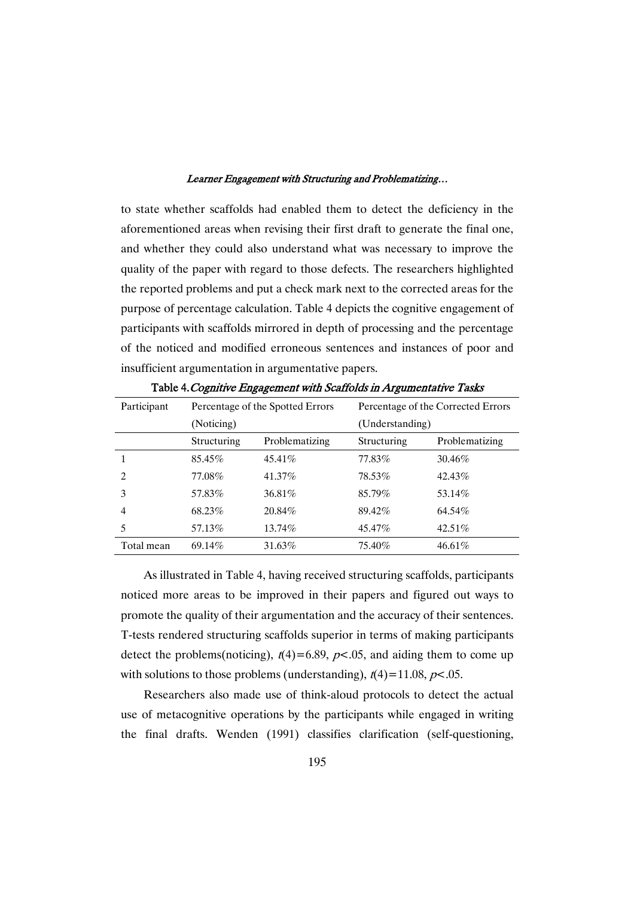to state whether scaffolds had enabled them to detect the deficiency in the aforementioned areas when revising their first draft to generate the final one, and whether they could also understand what was necessary to improve the quality of the paper with regard to those defects. The researchers highlighted the reported problems and put a check mark next to the corrected areas for the purpose of percentage calculation. Table 4 depicts the cognitive engagement of participants with scaffolds mirrored in depth of processing and the percentage of the noticed and modified erroneous sentences and instances of poor and insufficient argumentation in argumentative papers.

| Participant    | Percentage of the Spotted Errors |                | Percentage of the Corrected Errors |                |  |
|----------------|----------------------------------|----------------|------------------------------------|----------------|--|
|                | (Noticing)                       |                | (Understanding)                    |                |  |
|                | Structuring                      | Problematizing | Structuring                        | Problematizing |  |
|                | 85.45%                           | 45.41%         | 77.83%                             | 30.46%         |  |
| $\overline{c}$ | 77.08%                           | 41.37%         | 78.53%                             | 42.43%         |  |
| 3              | 57.83%                           | 36.81%         | 85.79%                             | 53.14%         |  |
| $\overline{4}$ | 68.23%                           | 20.84%         | 89.42%                             | 64.54%         |  |
| 5              | 57.13%                           | 13.74%         | 45.47%                             | 42.51\%        |  |
| Total mean     | 69.14%                           | 31.63%         | 75.40%                             | 46.61%         |  |

Table 4. Cognitive Engagement with Scaffolds in Argumentative Tasks

As illustrated in Table 4, having received structuring scaffolds, participants noticed more areas to be improved in their papers and figured out ways to promote the quality of their argumentation and the accuracy of their sentences. T-tests rendered structuring scaffolds superior in terms of making participants detect the problems(noticing),  $t(4)=6.89$ ,  $p<0.05$ , and aiding them to come up with solutions to those problems (understanding),  $t(4)=11.08$ ,  $p<.05$ .

Researchers also made use of think-aloud protocols to detect the actual use of metacognitive operations by the participants while engaged in writing the final drafts. Wenden (1991) classifies clarification (self-questioning,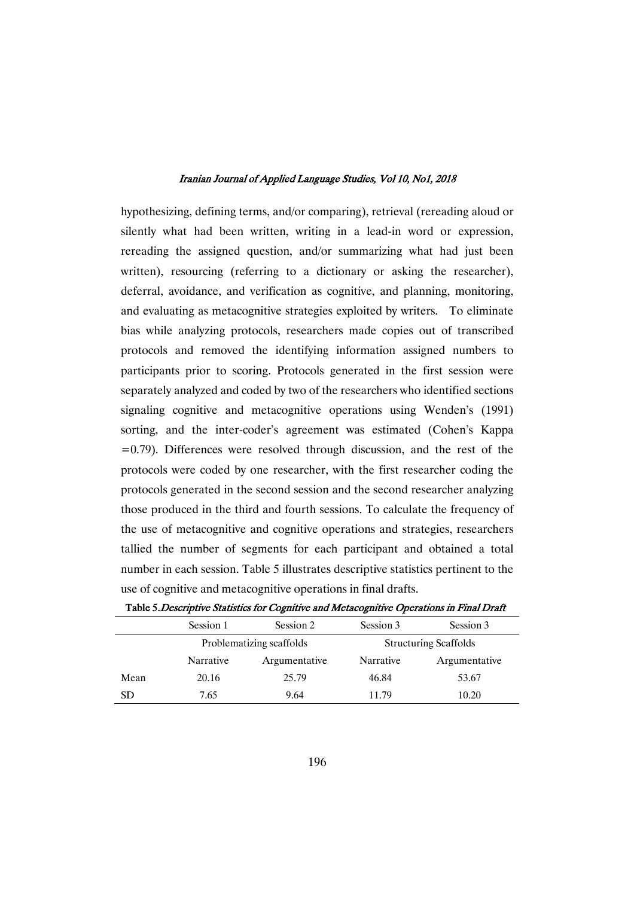hypothesizing, defining terms, and/or comparing), retrieval (rereading aloud or silently what had been written, writing in a lead-in word or expression, rereading the assigned question, and/or summarizing what had just been written), resourcing (referring to a dictionary or asking the researcher), deferral, avoidance, and verification as cognitive, and planning, monitoring, and evaluating as metacognitive strategies exploited by writers. To eliminate bias while analyzing protocols, researchers made copies out of transcribed protocols and removed the identifying information assigned numbers to participants prior to scoring. Protocols generated in the first session were separately analyzed and coded by two of the researchers who identified sections signaling cognitive and metacognitive operations using Wenden's (1991) sorting, and the inter-coder's agreement was estimated (Cohen's Kappa  $=0.79$ ). Differences were resolved through discussion, and the rest of the protocols were coded by one researcher, with the first researcher coding the protocols generated in the second session and the second researcher analyzing those produced in the third and fourth sessions. To calculate the frequency of the use of metacognitive and cognitive operations and strategies, researchers tallied the number of segments for each participant and obtained a total number in each session. Table 5 illustrates descriptive statistics pertinent to the use of cognitive and metacognitive operations in final drafts.

|      | Session 1                | Session 2     | Session 3                    | Session 3     |
|------|--------------------------|---------------|------------------------------|---------------|
|      | Problematizing scaffolds |               | <b>Structuring Scaffolds</b> |               |
|      | Narrative                | Argumentative | Narrative                    | Argumentative |
| Mean | 20.16                    | 25.79         | 46.84                        | 53.67         |
| SD   | 7.65                     | 9.64          | 11.79                        | 10.20         |

Table 5. Descriptive Statistics for Cognitive and Metacognitive Operations in Final Draft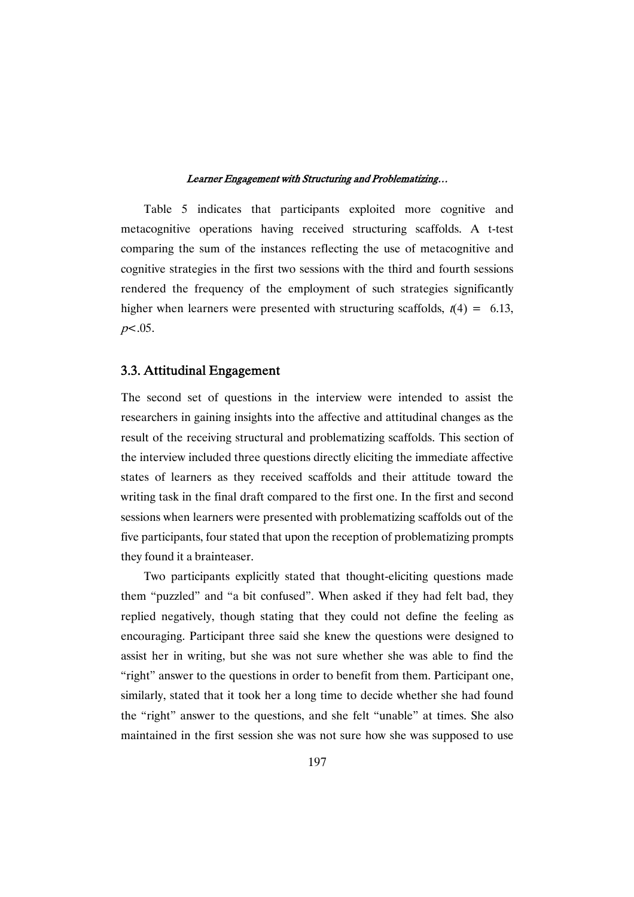Table 5 indicates that participants exploited more cognitive and metacognitive operations having received structuring scaffolds. A t-test comparing the sum of the instances reflecting the use of metacognitive and cognitive strategies in the first two sessions with the third and fourth sessions rendered the frequency of the employment of such strategies significantly higher when learners were presented with structuring scaffolds,  $t(4) = 6.13$ ,  $p<.05$ .

### 3.3.AttitudinalEngagement

The second set of questions in the interview were intended to assist the researchers in gaining insights into the affective and attitudinal changes as the result of the receiving structural and problematizing scaffolds. This section of the interview included three questions directly eliciting the immediate affective states of learners as they received scaffolds and their attitude toward the writing task in the final draft compared to the first one. In the first and second sessions when learners were presented with problematizing scaffolds out of the five participants, four stated that upon the reception of problematizing prompts they found it a brainteaser.

Two participants explicitly stated that thought-eliciting questions made them "puzzled" and "a bit confused". When asked if they had felt bad, they replied negatively, though stating that they could not define the feeling as encouraging. Participant three said she knew the questions were designed to assist her in writing, but she was not sure whether she was able to find the "right" answer to the questions in order to benefit from them. Participant one, similarly, stated that it took her a long time to decide whether she had found the "right" answer to the questions, and she felt "unable" at times. She also maintained in the first session she was not sure how she was supposed to use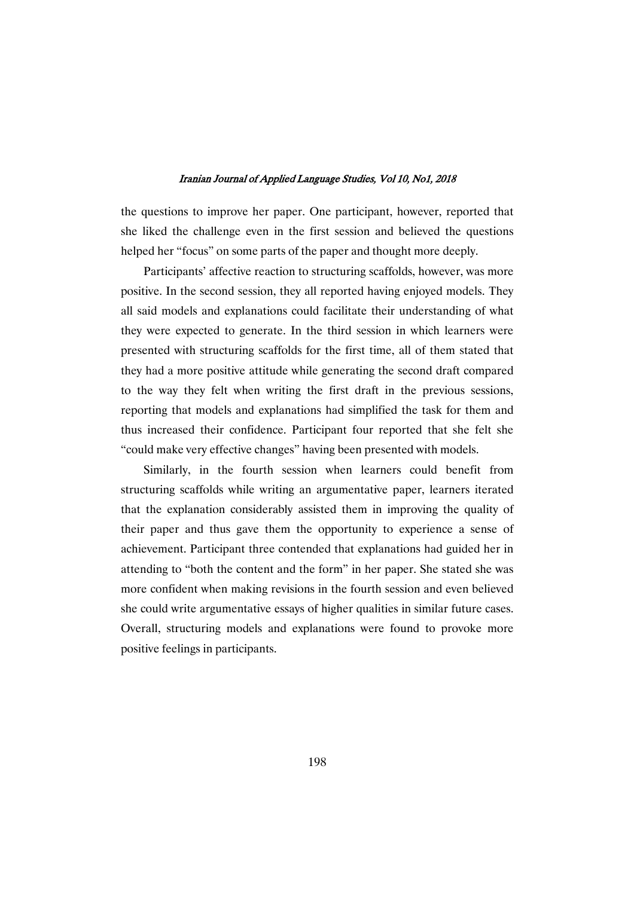the questions to improve her paper. One participant, however, reported that she liked the challenge even in the first session and believed the questions helped her "focus" on some parts of the paper and thought more deeply.

Participants' affective reaction to structuring scaffolds, however, was more positive. In the second session, they all reported having enjoyed models. They all said models and explanations could facilitate their understanding of what they were expected to generate. In the third session in which learners were presented with structuring scaffolds for the first time, all of them stated that they had a more positive attitude while generating the second draft compared to the way they felt when writing the first draft in the previous sessions, reporting that models and explanations had simplified the task for them and thus increased their confidence. Participant four reported that she felt she "could make very effective changes" having been presented with models.

Similarly, in the fourth session when learners could benefit from structuring scaffolds while writing an argumentative paper, learners iterated that the explanation considerably assisted them in improving the quality of their paper and thus gave them the opportunity to experience a sense of achievement. Participant three contended that explanations had guided her in attending to "both the content and the form" in her paper. She stated she was more confident when making revisions in the fourth session and even believed she could write argumentative essays of higher qualities in similar future cases. Overall, structuring models and explanations were found to provoke more positive feelings in participants.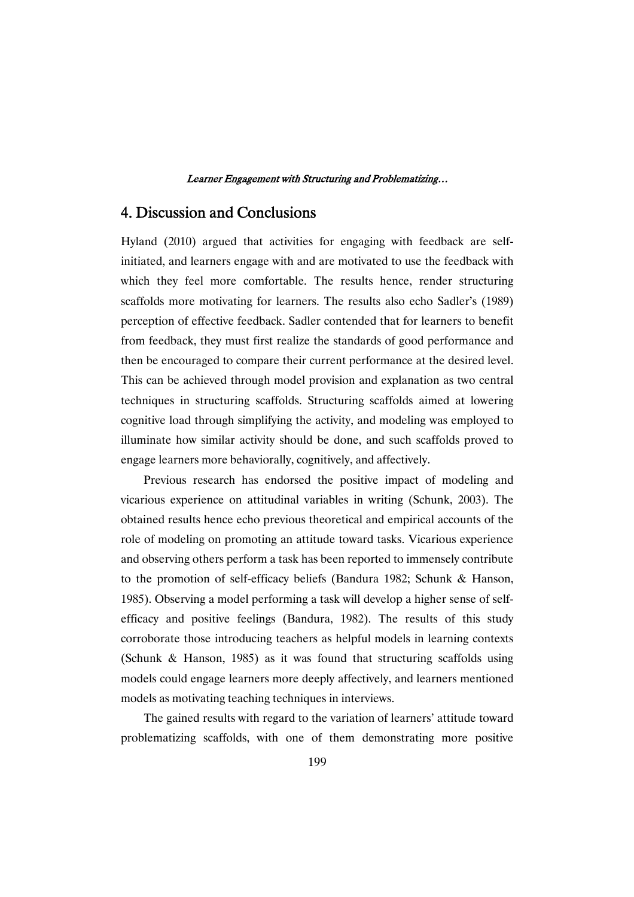## 4. Discussion and Conclusions

Hyland (2010) argued that activities for engaging with feedback are selfinitiated, and learners engage with and are motivated to use the feedback with which they feel more comfortable. The results hence, render structuring scaffolds more motivating for learners. The results also echo Sadler's (1989) perception of effective feedback. Sadler contended that for learners to benefit from feedback, they must first realize the standards of good performance and then be encouraged to compare their current performance at the desired level. This can be achieved through model provision and explanation as two central techniques in structuring scaffolds. Structuring scaffolds aimed at lowering cognitive load through simplifying the activity, and modeling was employed to illuminate how similar activity should be done, and such scaffolds proved to engage learners more behaviorally, cognitively, and affectively.

Previous research has endorsed the positive impact of modeling and vicarious experience on attitudinal variables in writing (Schunk, 2003). The obtained results hence echo previous theoretical and empirical accounts of the role of modeling on promoting an attitude toward tasks. Vicarious experience and observing others perform a task has been reported to immensely contribute to the promotion of self-efficacy beliefs (Bandura 1982; Schunk & Hanson, 1985). Observing a model performing a task will develop a higher sense of selfefficacy and positive feelings (Bandura, 1982). The results of this study corroborate those introducing teachers as helpful models in learning contexts (Schunk & Hanson, 1985) as it was found that structuring scaffolds using models could engage learners more deeply affectively, and learners mentioned models as motivating teaching techniques in interviews.

The gained results with regard to the variation of learners' attitude toward problematizing scaffolds, with one of them demonstrating more positive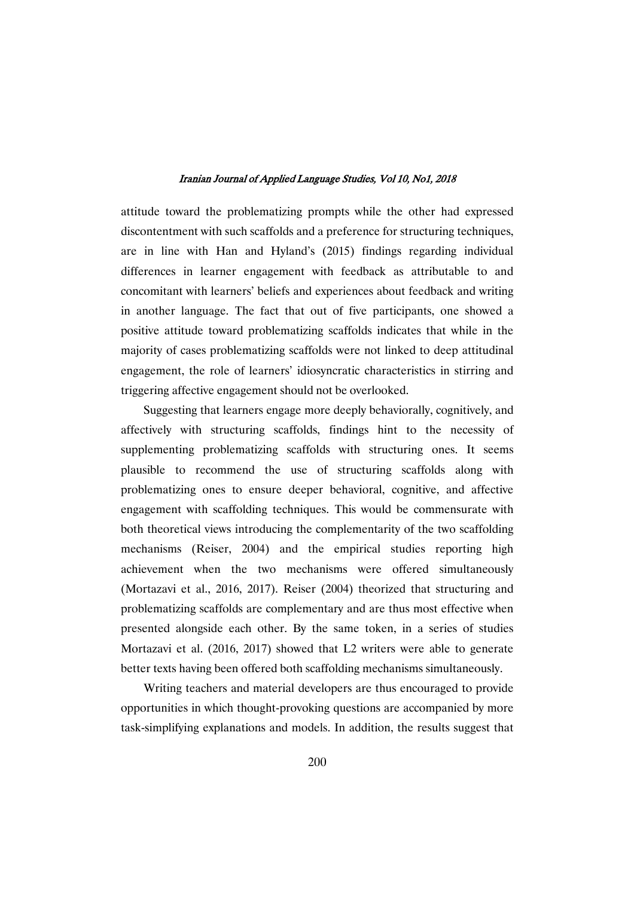attitude toward the problematizing prompts while the other had expressed discontentment with such scaffolds and a preference for structuring techniques, are in line with Han and Hyland's (2015) findings regarding individual differences in learner engagement with feedback as attributable to and concomitant with learners' beliefs and experiences about feedback and writing in another language. The fact that out of five participants, one showed a positive attitude toward problematizing scaffolds indicates that while in the majority of cases problematizing scaffolds were not linked to deep attitudinal engagement, the role of learners' idiosyncratic characteristics in stirring and triggering affective engagement should not be overlooked.

Suggesting that learners engage more deeply behaviorally, cognitively, and affectively with structuring scaffolds, findings hint to the necessity of supplementing problematizing scaffolds with structuring ones. It seems plausible to recommend the use of structuring scaffolds along with problematizing ones to ensure deeper behavioral, cognitive, and affective engagement with scaffolding techniques. This would be commensurate with both theoretical views introducing the complementarity of the two scaffolding mechanisms (Reiser, 2004) and the empirical studies reporting high achievement when the two mechanisms were offered simultaneously (Mortazavi et al., 2016, 2017). Reiser (2004) theorized that structuring and problematizing scaffolds are complementary and are thus most effective when presented alongside each other. By the same token, in a series of studies Mortazavi et al. (2016, 2017) showed that L2 writers were able to generate better texts having been offered both scaffolding mechanisms simultaneously.

Writing teachers and material developers are thus encouraged to provide opportunities in which thought-provoking questions are accompanied by more task-simplifying explanations and models. In addition, the results suggest that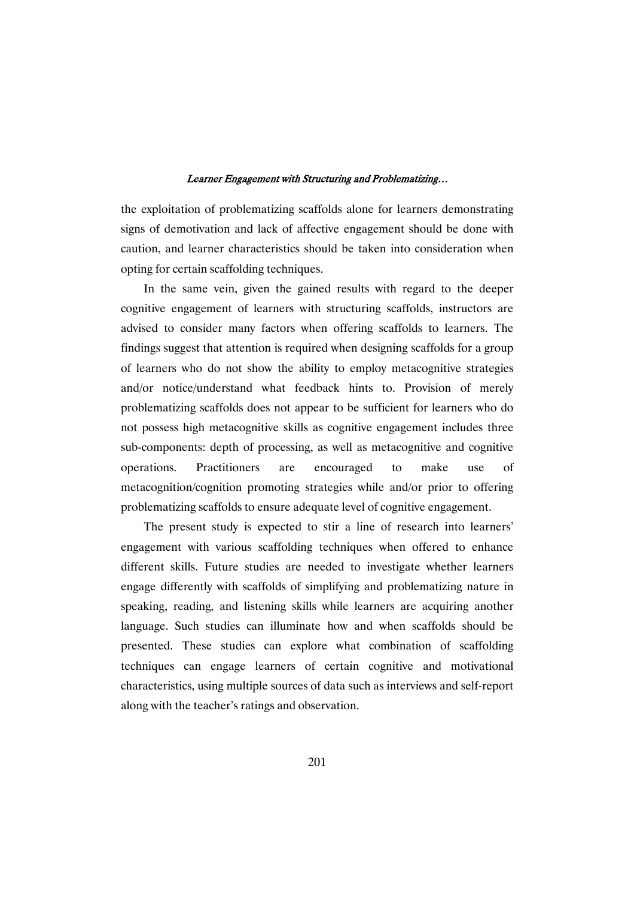the exploitation of problematizing scaffolds alone for learners demonstrating signs of demotivation and lack of affective engagement should be done with caution, and learner characteristics should be taken into consideration when opting for certain scaffolding techniques.

In the same vein, given the gained results with regard to the deeper cognitive engagement of learners with structuring scaffolds, instructors are advised to consider many factors when offering scaffolds to learners. The findings suggest that attention is required when designing scaffolds for a group of learners who do not show the ability to employ metacognitive strategies and/or notice/understand what feedback hints to. Provision of merely problematizing scaffolds does not appear to be sufficient for learners who do not possess high metacognitive skills as cognitive engagement includes three sub-components: depth of processing, as well as metacognitive and cognitive operations. Practitioners are encouraged to make use of metacognition/cognition promoting strategies while and/or prior to offering problematizing scaffolds to ensure adequate level of cognitive engagement.

The present study is expected to stir a line of research into learners' engagement with various scaffolding techniques when offered to enhance different skills. Future studies are needed to investigate whether learners engage differently with scaffolds of simplifying and problematizing nature in speaking, reading, and listening skills while learners are acquiring another language. Such studies can illuminate how and when scaffolds should be presented. These studies can explore what combination of scaffolding techniques can engage learners of certain cognitive and motivational characteristics, using multiple sources of data such as interviews and self-report along with the teacher's ratings and observation.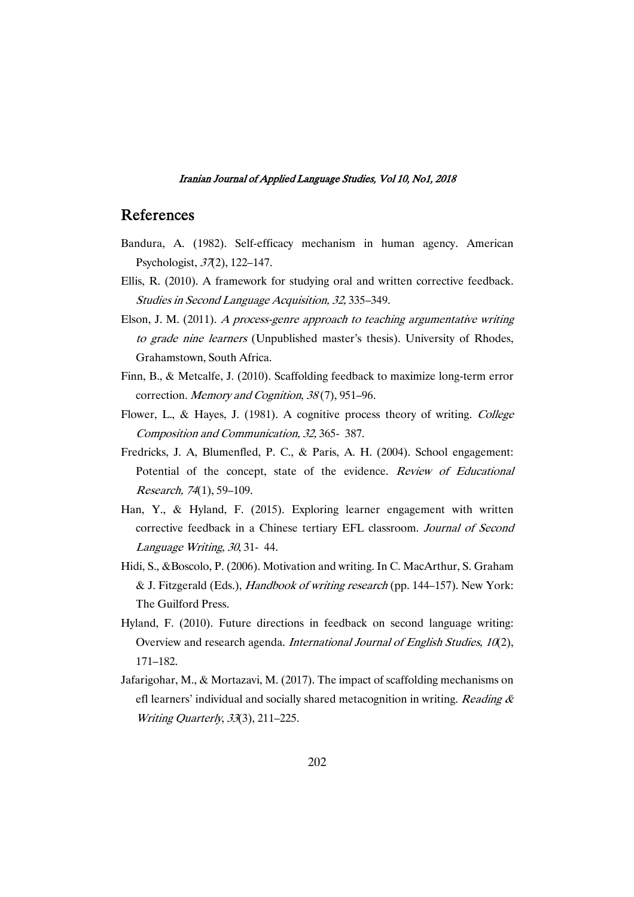## References

- Bandura, A. (1982). Self-efficacy mechanism in human agency. American Psychologist, <sup>37</sup>(2), 122–147.
- Ellis, R. (2010). A framework for studying oral and written corrective feedback. Studies in Second Language Acquisition, 32, 335–349.
- Elson, J. M. (2011). <sup>A</sup> process-genre approach to teaching argumentative writing to grade nine learners (Unpublished master's thesis). University of Rhodes, Grahamstown, South Africa.
- Finn, B., & Metcalfe, J. (2010). Scaffolding feedback to maximize long-term error correction. Memory and Cognition, <sup>38</sup> (7), 951–96.
- Flower, L., & Hayes, J. (1981). A cognitive process theory of writing. College Composition and Communication, 32, 365- 387.
- Fredricks, J. A, Blumenfled, P. C., & Paris, A. H. (2004). School engagement: Potential of the concept, state of the evidence. Review of Educational Research, <sup>74</sup>(1), 59–109.
- Han, Y., & Hyland, F. (2015). Exploring learner engagement with written corrective feedback in a Chinese tertiary EFL classroom. Journal of Second Language Writing, <sup>30</sup>, 31- 44.
- Hidi, S., &Boscolo, P. (2006). Motivation and writing. In C. MacArthur, S. Graham & J. Fitzgerald (Eds.), Handbook of writing research (pp. 144–157). New York: The Guilford Press.
- Hyland, F. (2010). Future directions in feedback on second language writing: Overview and research agenda. International Journal of English Studies, <sup>10</sup>(2), 171–182.
- Jafarigohar, M., & Mortazavi, M. (2017). The impact of scaffolding mechanisms on efl learners' individual and socially shared metacognition in writing. Reading  $\&$ Writing Quarterly, <sup>33</sup>(3), 211–225.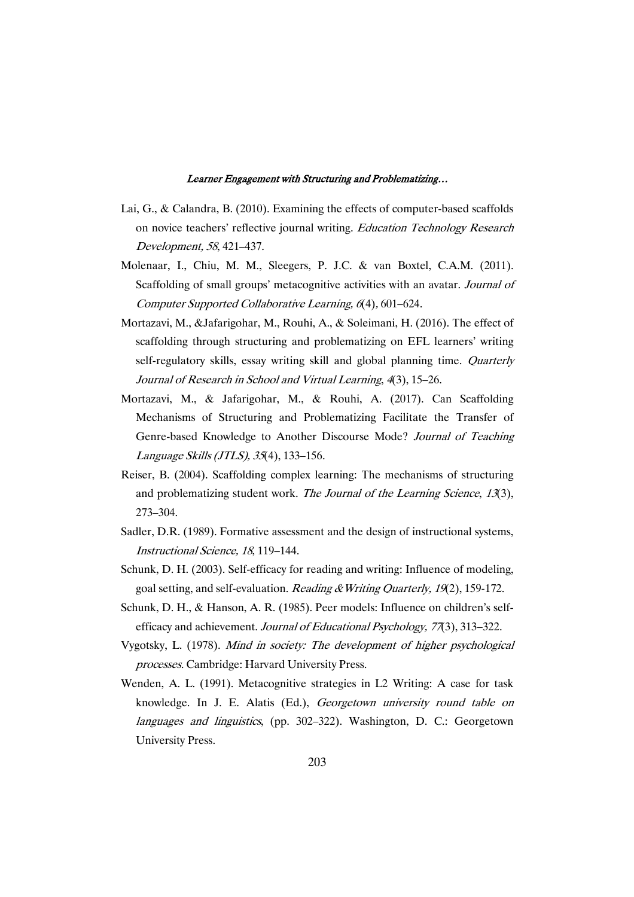- Lai, G., & Calandra, B. (2010). Examining the effects of computer-based scaffolds on novice teachers' reflective journal writing. Education Technology Research Development, <sup>58</sup>, 421–437.
- Molenaar, I., Chiu, M. M., Sleegers, P. J.C. & van Boxtel, C.A.M. (2011). Scaffolding of small groups' metacognitive activities with an avatar. Journal of Computer Supported Collaborative Learning, <sup>6</sup>(4), 601–624.
- Mortazavi, M., &Jafarigohar, M., Rouhi, A., & Soleimani, H. (2016). The effect of scaffolding through structuring and problematizing on EFL learners' writing self-regulatory skills, essay writing skill and global planning time. Quarterly Journal of Research in School and Virtual Learning, <sup>4</sup>(3), 15–26.
- Mortazavi, M., & Jafarigohar, M., & Rouhi, A. (2017). Can Scaffolding Mechanisms of Structuring and Problematizing Facilitate the Transfer of Genre-based Knowledge to Another Discourse Mode? Journal of Teaching Language Skills (JTLS), <sup>35</sup>(4), 133–156.
- Reiser, B. (2004). Scaffolding complex learning: The mechanisms of structuring and problematizing student work. The Journal of the Learning Science, <sup>13</sup>(3), 273–304.
- Sadler, D.R. (1989). Formative assessment and the design of instructional systems, Instructional Science, <sup>18</sup>, 119–144.
- Schunk, D. H. (2003). Self-efficacy for reading and writing: Influence of modeling, goal setting, and self-evaluation. *Reading & Writing Quarterly, 19*(2), 159-172.
- Schunk, D. H., & Hanson, A. R. (1985). Peer models: Influence on children's selfefficacy and achievement. Journal of Educational Psychology, <sup>77</sup>(3), 313–322.
- Vygotsky, L. (1978). Mind in society: The development of higher psychological processes. Cambridge: Harvard University Press.
- Wenden, A. L. (1991). Metacognitive strategies in L2 Writing: A case for task knowledge. In J. E. Alatis (Ed.), Georgetown university round table on languages and linguistics, (pp. 302–322). Washington, D. C.: Georgetown University Press.